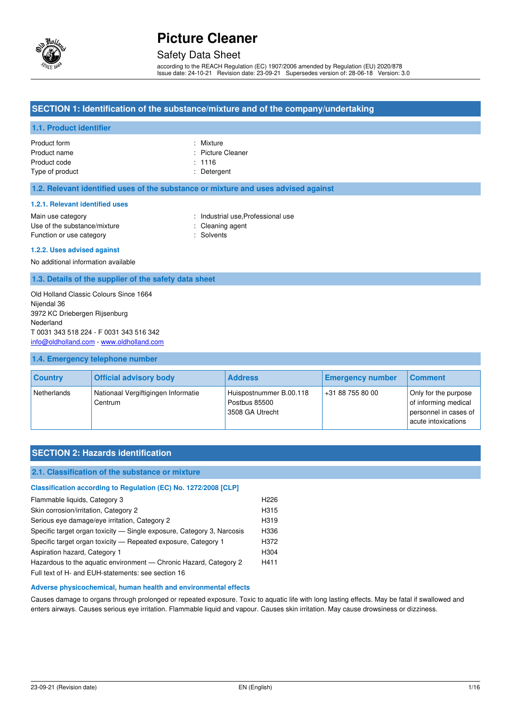

### Safety Data Sheet

according to the REACH Regulation (EC) 1907/2006 amended by Regulation (EU) 2020/878 Issue date: 24-10-21 Revision date: 23-09-21 Supersedes version of: 28-06-18 Version: 3.0

#### **SECTION 1: Identification of the substance/mixture and of the company/undertaking**

#### **1.1. Product identifier**

| Product form    | : Mixture         |
|-----------------|-------------------|
| Product name    | : Picture Cleaner |
| Product code    | : 1116            |
| Type of product | : Detergent       |

#### **1.2. Relevant identified uses of the substance or mixture and uses advised against**

#### **1.2.1. Relevant identified uses**

| Main use category            |
|------------------------------|
| Use of the substance/mixture |
| Function or use category     |

: Industrial use, Professional use : Cleaning agent

: Solvents

#### **1.2.2. Uses advised against**

No additional information available

**1.3. Details of the supplier of the safety data sheet** 

Old Holland Classic Colours Since 1664 Nijendal 36 3972 KC Driebergen Rijsenburg Nederland T 0031 343 518 224 - F 0031 343 516 342 [info@oldholland.com](mailto:info@oldholland.com) - [www.oldholland.com](http://www.oldholland.com/)

#### **1.4. Emergency telephone number**

| <b>Country</b> | <b>Official advisory body</b>                  | <b>Address</b>                                              | <b>Emergency number</b> | Comment                                                                                      |
|----------------|------------------------------------------------|-------------------------------------------------------------|-------------------------|----------------------------------------------------------------------------------------------|
| Netherlands    | Nationaal Vergiftigingen Informatie<br>Centrum | Huispostnummer B.00.118<br>Postbus 85500<br>3508 GA Utrecht | +31 88 755 80 00        | Only for the purpose<br>of informing medical<br>personnel in cases of<br>acute intoxications |

#### **SECTION 2: Hazards identification**

#### **2.1. Classification of the substance or mixture**

| Classification according to Regulation (EC) No. 1272/2008 [CLP]        |                  |
|------------------------------------------------------------------------|------------------|
| Flammable liquids, Category 3                                          | H <sub>226</sub> |
| Skin corrosion/irritation, Category 2                                  | H315             |
| Serious eye damage/eye irritation, Category 2                          | H319             |
| Specific target organ toxicity — Single exposure, Category 3, Narcosis | H336             |
| Specific target organ toxicity — Repeated exposure, Category 1         | H372             |
| Aspiration hazard, Category 1                                          | H304             |
| Hazardous to the aquatic environment - Chronic Hazard, Category 2      | H411             |
| Full text of H- and EUH-statements: see section 16                     |                  |

#### **Adverse physicochemical, human health and environmental effects**

Causes damage to organs through prolonged or repeated exposure. Toxic to aquatic life with long lasting effects. May be fatal if swallowed and enters airways. Causes serious eye irritation. Flammable liquid and vapour. Causes skin irritation. May cause drowsiness or dizziness.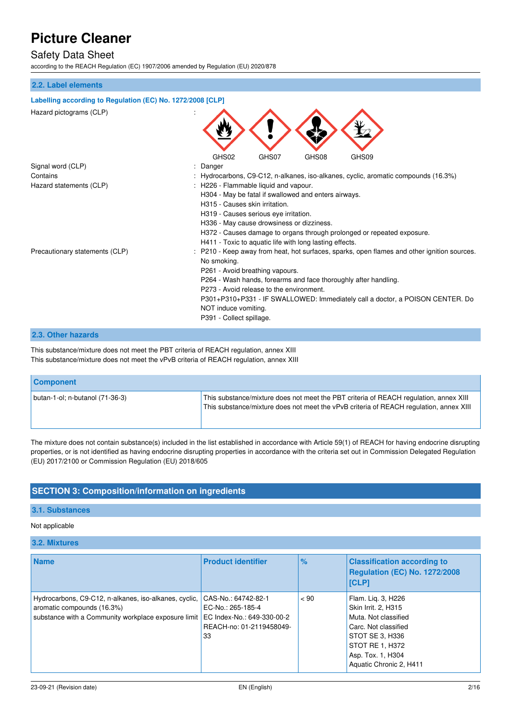### Safety Data Sheet

according to the REACH Regulation (EC) 1907/2006 amended by Regulation (EU) 2020/878

#### **2.2. Label elements**

| Labelling according to Regulation (EC) No. 1272/2008 [CLP] |                                                                                           |
|------------------------------------------------------------|-------------------------------------------------------------------------------------------|
| Hazard pictograms (CLP)                                    |                                                                                           |
|                                                            | GHS02<br>GHS07<br>GHS08<br>GHS09                                                          |
| Signal word (CLP)                                          | Danger                                                                                    |
| Contains                                                   | : Hydrocarbons, C9-C12, n-alkanes, iso-alkanes, cyclic, aromatic compounds (16.3%)        |
| Hazard statements (CLP)                                    | H226 - Flammable liquid and vapour.                                                       |
|                                                            | H304 - May be fatal if swallowed and enters airways.                                      |
|                                                            | H315 - Causes skin irritation.                                                            |
|                                                            | H319 - Causes serious eye irritation.                                                     |
|                                                            | H336 - May cause drowsiness or dizziness.                                                 |
|                                                            | H372 - Causes damage to organs through prolonged or repeated exposure.                    |
|                                                            | H411 - Toxic to aquatic life with long lasting effects.                                   |
| Precautionary statements (CLP)                             | P210 - Keep away from heat, hot surfaces, sparks, open flames and other ignition sources. |
|                                                            | No smoking.                                                                               |
|                                                            | P261 - Avoid breathing vapours.                                                           |
|                                                            | P264 - Wash hands, forearms and face thoroughly after handling.                           |
|                                                            | P273 - Avoid release to the environment.                                                  |
|                                                            | P301+P310+P331 - IF SWALLOWED: Immediately call a doctor, a POISON CENTER. Do             |
|                                                            | NOT induce vomiting.                                                                      |
|                                                            | P391 - Collect spillage.                                                                  |
|                                                            |                                                                                           |

#### **2.3. Other hazards**

This substance/mixture does not meet the PBT criteria of REACH regulation, annex XIII This substance/mixture does not meet the vPvB criteria of REACH regulation, annex XIII

| <b>Component</b>                  |                                                                                                                                                                                 |
|-----------------------------------|---------------------------------------------------------------------------------------------------------------------------------------------------------------------------------|
| butan-1-ol; n-butanol $(71-36-3)$ | This substance/mixture does not meet the PBT criteria of REACH regulation, annex XIII<br>This substance/mixture does not meet the vPvB criteria of REACH regulation, annex XIII |

The mixture does not contain substance(s) included in the list established in accordance with Article 59(1) of REACH for having endocrine disrupting properties, or is not identified as having endocrine disrupting properties in accordance with the criteria set out in Commission Delegated Regulation (EU) 2017/2100 or Commission Regulation (EU) 2018/605

#### **SECTION 3: Composition/information on ingredients**

#### **3.1. Substances**

#### Not applicable

#### **3.2. Mixtures**

| <b>Name</b>                                                                                                                                | <b>Product identifier</b>                                                                                | $\%$ | <b>Classification according to</b><br><b>Regulation (EC) No. 1272/2008</b><br>[CLP]                                                                                             |
|--------------------------------------------------------------------------------------------------------------------------------------------|----------------------------------------------------------------------------------------------------------|------|---------------------------------------------------------------------------------------------------------------------------------------------------------------------------------|
| Hydrocarbons, C9-C12, n-alkanes, iso-alkanes, cyclic,<br>aromatic compounds (16.3%)<br>substance with a Community workplace exposure limit | CAS-No.: 64742-82-1<br>EC-No.: 265-185-4<br>EC Index-No.: 649-330-00-2<br>REACH-no: 01-2119458049-<br>33 | < 90 | Flam. Lig. 3, H226<br>Skin Irrit. 2, H315<br>Muta. Not classified<br>Carc. Not classified<br>STOT SE 3, H336<br>STOT RE 1, H372<br>Asp. Tox. 1, H304<br>Aquatic Chronic 2, H411 |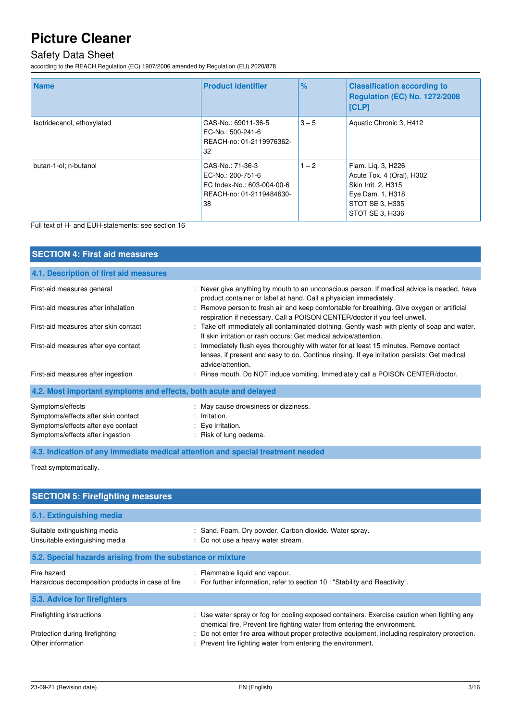### Safety Data Sheet

according to the REACH Regulation (EC) 1907/2006 amended by Regulation (EU) 2020/878

| <b>Name</b>                | <b>Product identifier</b>                                                                             | $\%$    | <b>Classification according to</b><br>Regulation (EC) No. 1272/2008<br> [CLP]                                                    |
|----------------------------|-------------------------------------------------------------------------------------------------------|---------|----------------------------------------------------------------------------------------------------------------------------------|
| Isotridecanol, ethoxylated | CAS-No.: 69011-36-5<br>EC-No.: 500-241-6<br>REACH-no: 01-2119976362-<br>32                            | $3 - 5$ | Aquatic Chronic 3, H412                                                                                                          |
| butan-1-ol; n-butanol      | CAS-No.: 71-36-3<br>EC-No.: 200-751-6<br>EC Index-No.: 603-004-00-6<br>REACH-no: 01-2119484630-<br>38 | $1 - 2$ | Flam. Lig. 3, H226<br>Acute Tox. 4 (Oral), H302<br>Skin Irrit. 2, H315<br>Eye Dam. 1, H318<br>STOT SE 3, H335<br>STOT SE 3, H336 |

Full text of H- and EUH-statements: see section 16

| <b>SECTION 4: First aid measures</b>                                                                                              |                                                                                                                                                                                                             |
|-----------------------------------------------------------------------------------------------------------------------------------|-------------------------------------------------------------------------------------------------------------------------------------------------------------------------------------------------------------|
| 4.1. Description of first aid measures                                                                                            |                                                                                                                                                                                                             |
| First-aid measures general                                                                                                        | : Never give anything by mouth to an unconscious person. If medical advice is needed, have<br>product container or label at hand. Call a physician immediately.                                             |
| First-aid measures after inhalation                                                                                               | Remove person to fresh air and keep comfortable for breathing. Give oxygen or artificial<br>respiration if necessary. Call a POISON CENTER/doctor if you feel unwell.                                       |
| First-aid measures after skin contact                                                                                             | : Take off immediately all contaminated clothing. Gently wash with plenty of soap and water.<br>If skin irritation or rash occurs: Get medical advice/attention.                                            |
| First-aid measures after eye contact                                                                                              | : Immediately flush eyes thoroughly with water for at least 15 minutes. Remove contact<br>lenses, if present and easy to do. Continue rinsing. If eye irritation persists: Get medical<br>advice/attention. |
| First-aid measures after ingestion                                                                                                | : Rinse mouth. Do NOT induce vomiting. Immediately call a POISON CENTER/doctor.                                                                                                                             |
| 4.2. Most important symptoms and effects, both acute and delayed                                                                  |                                                                                                                                                                                                             |
| Symptoms/effects<br>Symptoms/effects after skin contact<br>Symptoms/effects after eye contact<br>Symptoms/effects after ingestion | : May cause drowsiness or dizziness.<br>$:$ Irritation.<br>: Eye irritation.<br>: Risk of lung oedema.                                                                                                      |

**4.3. Indication of any immediate medical attention and special treatment needed** 

Treat symptomatically.

| <b>SECTION 5: Firefighting measures</b>                                          |                                                                                                                                                                                                                                                                                                                                             |  |
|----------------------------------------------------------------------------------|---------------------------------------------------------------------------------------------------------------------------------------------------------------------------------------------------------------------------------------------------------------------------------------------------------------------------------------------|--|
| 5.1. Extinguishing media                                                         |                                                                                                                                                                                                                                                                                                                                             |  |
| Suitable extinguishing media<br>Unsuitable extinguishing media                   | : Sand. Foam. Dry powder. Carbon dioxide. Water spray.<br>: Do not use a heavy water stream.                                                                                                                                                                                                                                                |  |
| 5.2. Special hazards arising from the substance or mixture                       |                                                                                                                                                                                                                                                                                                                                             |  |
| Fire hazard<br>Hazardous decomposition products in case of fire                  | : Flammable liquid and vapour.<br>: For further information, refer to section 10 : "Stability and Reactivity".                                                                                                                                                                                                                              |  |
| 5.3. Advice for firefighters                                                     |                                                                                                                                                                                                                                                                                                                                             |  |
| Firefighting instructions<br>Protection during firefighting<br>Other information | : Use water spray or fog for cooling exposed containers. Exercise caution when fighting any<br>chemical fire. Prevent fire fighting water from entering the environment.<br>: Do not enter fire area without proper protective equipment, including respiratory protection.<br>: Prevent fire fighting water from entering the environment. |  |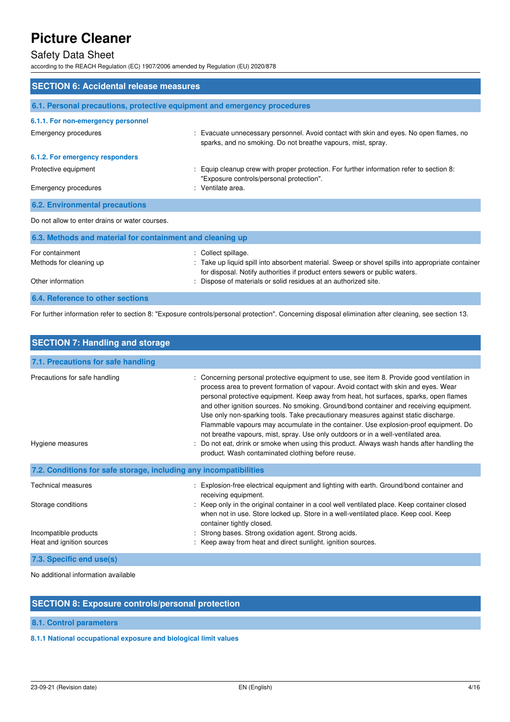# Safety Data Sheet

according to the REACH Regulation (EC) 1907/2006 amended by Regulation (EU) 2020/878

| <b>SECTION 6: Accidental release measures</b>                            |                                                                                                                                                                                                                                                                            |  |
|--------------------------------------------------------------------------|----------------------------------------------------------------------------------------------------------------------------------------------------------------------------------------------------------------------------------------------------------------------------|--|
| 6.1. Personal precautions, protective equipment and emergency procedures |                                                                                                                                                                                                                                                                            |  |
| 6.1.1. For non-emergency personnel                                       |                                                                                                                                                                                                                                                                            |  |
| Emergency procedures                                                     | : Evacuate unnecessary personnel. Avoid contact with skin and eyes. No open flames, no<br>sparks, and no smoking. Do not breathe vapours, mist, spray.                                                                                                                     |  |
| 6.1.2. For emergency responders                                          |                                                                                                                                                                                                                                                                            |  |
| Protective equipment                                                     | : Equip cleanup crew with proper protection. For further information refer to section 8:<br>"Exposure controls/personal protection".                                                                                                                                       |  |
| Emergency procedures                                                     | : Ventilate area.                                                                                                                                                                                                                                                          |  |
| <b>6.2. Environmental precautions</b>                                    |                                                                                                                                                                                                                                                                            |  |
| Do not allow to enter drains or water courses.                           |                                                                                                                                                                                                                                                                            |  |
| 6.3. Methods and material for containment and cleaning up                |                                                                                                                                                                                                                                                                            |  |
| For containment<br>Methods for cleaning up<br>Other information          | : Collect spillage.<br>: Take up liquid spill into absorbent material. Sweep or shovel spills into appropriate container<br>for disposal. Notify authorities if product enters sewers or public waters.<br>: Dispose of materials or solid residues at an authorized site. |  |
| <b>6.4. Reference to other sections</b>                                  |                                                                                                                                                                                                                                                                            |  |

For further information refer to section 8: "Exposure controls/personal protection". Concerning disposal elimination after cleaning, see section 13.

| <b>SECTION 7: Handling and storage</b>                            |                                                                                                                                                                                                                                                                                                                                                                                                                                                                                                                                                                                                                                                                                                                                                                                        |
|-------------------------------------------------------------------|----------------------------------------------------------------------------------------------------------------------------------------------------------------------------------------------------------------------------------------------------------------------------------------------------------------------------------------------------------------------------------------------------------------------------------------------------------------------------------------------------------------------------------------------------------------------------------------------------------------------------------------------------------------------------------------------------------------------------------------------------------------------------------------|
| 7.1. Precautions for safe handling                                |                                                                                                                                                                                                                                                                                                                                                                                                                                                                                                                                                                                                                                                                                                                                                                                        |
| Precautions for safe handling<br>Hygiene measures                 | Concerning personal protective equipment to use, see item 8. Provide good ventilation in<br>process area to prevent formation of vapour. Avoid contact with skin and eyes. Wear<br>personal protective equipment. Keep away from heat, hot surfaces, sparks, open flames<br>and other ignition sources. No smoking. Ground/bond container and receiving equipment.<br>Use only non-sparking tools. Take precautionary measures against static discharge.<br>Flammable vapours may accumulate in the container. Use explosion-proof equipment. Do<br>not breathe vapours, mist, spray. Use only outdoors or in a well-ventilated area.<br>Do not eat, drink or smoke when using this product. Always wash hands after handling the<br>product. Wash contaminated clothing before reuse. |
| 7.2. Conditions for safe storage, including any incompatibilities |                                                                                                                                                                                                                                                                                                                                                                                                                                                                                                                                                                                                                                                                                                                                                                                        |
| <b>Technical measures</b>                                         | Explosion-free electrical equipment and lighting with earth. Ground/bond container and<br>receiving equipment.                                                                                                                                                                                                                                                                                                                                                                                                                                                                                                                                                                                                                                                                         |
| Storage conditions                                                | : Keep only in the original container in a cool well ventilated place. Keep container closed<br>when not in use. Store locked up. Store in a well-ventilated place. Keep cool. Keep<br>container tightly closed.                                                                                                                                                                                                                                                                                                                                                                                                                                                                                                                                                                       |
| Incompatible products                                             | Strong bases. Strong oxidation agent. Strong acids.                                                                                                                                                                                                                                                                                                                                                                                                                                                                                                                                                                                                                                                                                                                                    |
| Heat and ignition sources                                         | Keep away from heat and direct sunlight, ignition sources.                                                                                                                                                                                                                                                                                                                                                                                                                                                                                                                                                                                                                                                                                                                             |
| 7.3. Specific end use(s)                                          |                                                                                                                                                                                                                                                                                                                                                                                                                                                                                                                                                                                                                                                                                                                                                                                        |

No additional information available

#### **SECTION 8: Exposure controls/personal protection**

**8.1. Control parameters** 

#### **8.1.1 National occupational exposure and biological limit values**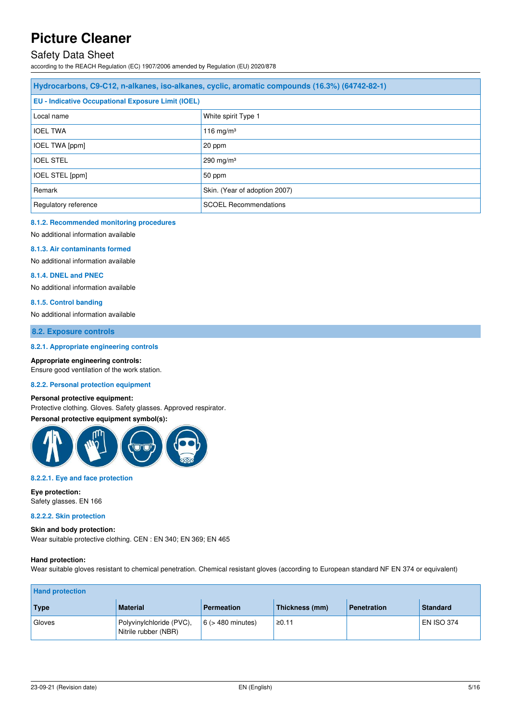### Safety Data Sheet

according to the REACH Regulation (EC) 1907/2006 amended by Regulation (EU) 2020/878

| Hydrocarbons, C9-C12, n-alkanes, iso-alkanes, cyclic, aromatic compounds (16.3%) (64742-82-1) |                     |  |
|-----------------------------------------------------------------------------------------------|---------------------|--|
| <b>EU - Indicative Occupational Exposure Limit (IOEL)</b>                                     |                     |  |
| Local name                                                                                    | White spirit Type 1 |  |
| <b>IOEL TWA</b>                                                                               | 116 mg/m $3$        |  |
| <b>IOEL TWA [ppm]</b>                                                                         | 20 ppm              |  |
| <b>IOEL STEL</b>                                                                              | 290 mg/m $3$        |  |
| IOEL STEL [ppm]                                                                               | 50 ppm              |  |
| Remark<br>Skin. (Year of adoption 2007)                                                       |                     |  |
| <b>SCOEL Recommendations</b><br>Regulatory reference                                          |                     |  |

#### **8.1.2. Recommended monitoring procedures**

No additional information available

#### **8.1.3. Air contaminants formed**

No additional information available

#### **8.1.4. DNEL and PNEC**

No additional information available

#### **8.1.5. Control banding**

No additional information available

#### **8.2. Exposure controls**

#### **8.2.1. Appropriate engineering controls**

**Appropriate engineering controls:** 

Ensure good ventilation of the work station.

### **8.2.2. Personal protection equipment**

#### **Personal protective equipment:**

Protective clothing. Gloves. Safety glasses. Approved respirator.

#### **Personal protective equipment symbol(s):**



#### **8.2.2.1. Eye and face protection**

**Eye protection:**  Safety glasses. EN 166

#### **8.2.2.2. Skin protection**

**Skin and body protection:**  Wear suitable protective clothing. CEN : EN 340; EN 369; EN 465

#### **Hand protection:**

Wear suitable gloves resistant to chemical penetration. Chemical resistant gloves (according to European standard NF EN 374 or equivalent)

| <b>Hand protection</b> |                                                  |                        |                |                    |                   |
|------------------------|--------------------------------------------------|------------------------|----------------|--------------------|-------------------|
| <b>Type</b>            | <b>Material</b>                                  | <b>Permeation</b>      | Thickness (mm) | <b>Penetration</b> | <b>Standard</b>   |
| Gloves                 | Polyvinylchloride (PVC),<br>Nitrile rubber (NBR) | $6$ ( $>$ 480 minutes) | ≥0.11          |                    | <b>EN ISO 374</b> |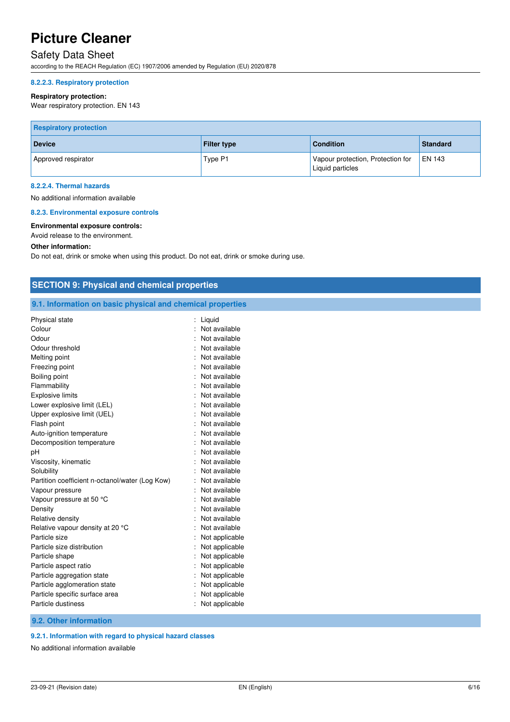# Safety Data Sheet

according to the REACH Regulation (EC) 1907/2006 amended by Regulation (EU) 2020/878

#### **8.2.2.3. Respiratory protection**

#### **Respiratory protection:**

Wear respiratory protection. EN 143

| <b>Respiratory protection</b> |                    |                                                       |                 |
|-------------------------------|--------------------|-------------------------------------------------------|-----------------|
| <b>Device</b>                 | <b>Filter type</b> | <b>Condition</b>                                      | <b>Standard</b> |
| Approved respirator           | Type P1            | Vapour protection, Protection for<br>Liquid particles | <b>EN 143</b>   |

#### **8.2.2.4. Thermal hazards**

No additional information available

#### **8.2.3. Environmental exposure controls**

#### **Environmental exposure controls:**

Avoid release to the environment.

#### **Other information:**

Do not eat, drink or smoke when using this product. Do not eat, drink or smoke during use.

| <b>SECTION 9: Physical and chemical properties</b>         |                  |  |
|------------------------------------------------------------|------------------|--|
| 9.1. Information on basic physical and chemical properties |                  |  |
| Physical state                                             | : Liquid         |  |
| Colour                                                     | : Not available  |  |
| Odour                                                      | Not available    |  |
| Odour threshold                                            | Not available    |  |
| Melting point                                              | Not available    |  |
| Freezing point                                             | Not available    |  |
| Boiling point                                              | Not available    |  |
| Flammability                                               | Not available    |  |
| <b>Explosive limits</b>                                    | Not available    |  |
| Lower explosive limit (LEL)                                | Not available    |  |
| Upper explosive limit (UEL)                                | Not available    |  |
| Flash point                                                | Not available    |  |
| Auto-ignition temperature                                  | Not available    |  |
| Decomposition temperature                                  | Not available    |  |
| pH                                                         | Not available    |  |
| Viscosity, kinematic                                       | Not available    |  |
| Solubility                                                 | Not available    |  |
| Partition coefficient n-octanol/water (Log Kow)            | Not available    |  |
| Vapour pressure                                            | : Not available  |  |
| Vapour pressure at 50 °C                                   | Not available    |  |
| Density                                                    | Not available    |  |
| Relative density                                           | Not available    |  |
| Relative vapour density at 20 °C                           | Not available    |  |
| Particle size                                              | Not applicable   |  |
| Particle size distribution                                 | Not applicable   |  |
| Particle shape                                             | : Not applicable |  |
| Particle aspect ratio                                      | Not applicable   |  |
| Particle aggregation state                                 | : Not applicable |  |
| Particle agglomeration state                               | : Not applicable |  |
| Particle specific surface area                             | : Not applicable |  |
| Particle dustiness                                         | : Not applicable |  |
| 9.2. Other information                                     |                  |  |

#### **9.2.1. Information with regard to physical hazard classes**

No additional information available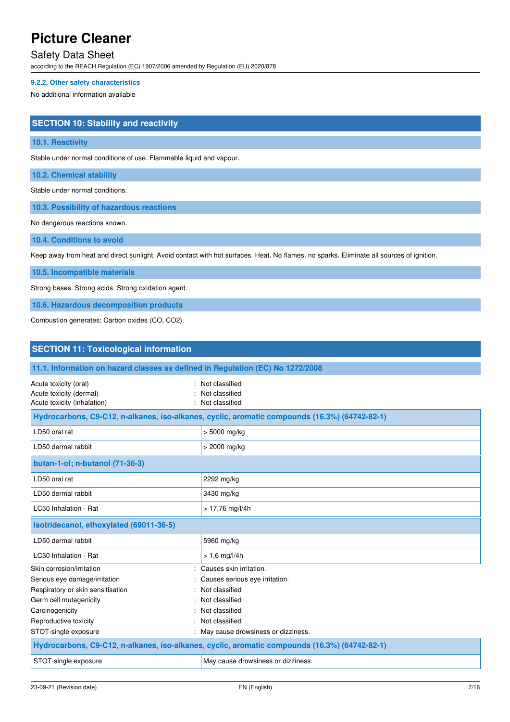### Safety Data Sheet

according to the REACH Regulation (EC) 1907/2006 amended by Regulation (EU) 2020/878

#### **9.2.2. Other safety characteristics**

No additional information available

#### **SECTION 10: Stability and reactivity**

#### **10.1. Reactivity**

Stable under normal conditions of use. Flammable liquid and vapour.

**10.2. Chemical stability** 

Stable under normal conditions.

**10.3. Possibility of hazardous reactions** 

No dangerous reactions known.

**10.4. Conditions to avoid** 

Keep away from heat and direct sunlight. Avoid contact with hot surfaces. Heat. No flames, no sparks. Eliminate all sources of ignition.

**10.5. Incompatible materials** 

Strong bases. Strong acids. Strong oxidation agent.

**10.6. Hazardous decomposition products** 

Combustion generates: Carbon oxides (CO, CO2).

| <b>SECTION 11: Toxicological information</b>                                                  |                                                                                               |  |  |
|-----------------------------------------------------------------------------------------------|-----------------------------------------------------------------------------------------------|--|--|
| 11.1. Information on hazard classes as defined in Regulation (EC) No 1272/2008                |                                                                                               |  |  |
| Acute toxicity (oral)<br>Acute toxicity (dermal)<br>Acute toxicity (inhalation)               | Not classified<br>Not classified<br>Not classified                                            |  |  |
|                                                                                               | Hydrocarbons, C9-C12, n-alkanes, iso-alkanes, cyclic, aromatic compounds (16.3%) (64742-82-1) |  |  |
| LD50 oral rat                                                                                 | $> 5000$ mg/kg                                                                                |  |  |
| LD50 dermal rabbit                                                                            | > 2000 mg/kg                                                                                  |  |  |
| butan-1-ol; n-butanol (71-36-3)                                                               |                                                                                               |  |  |
| LD50 oral rat                                                                                 | 2292 mg/kg                                                                                    |  |  |
| LD50 dermal rabbit                                                                            | 3430 mg/kg                                                                                    |  |  |
| LC50 Inhalation - Rat                                                                         | $> 17,76$ mg/l/4h                                                                             |  |  |
| Isotridecanol, ethoxylated (69011-36-5)                                                       |                                                                                               |  |  |
| LD50 dermal rabbit                                                                            | 5960 mg/kg                                                                                    |  |  |
| LC50 Inhalation - Rat                                                                         | $> 1.6$ mg/l/4h                                                                               |  |  |
| Skin corrosion/irritation                                                                     | Causes skin irritation.                                                                       |  |  |
| Serious eye damage/irritation                                                                 | Causes serious eye irritation.                                                                |  |  |
| Respiratory or skin sensitisation                                                             | Not classified                                                                                |  |  |
| Germ cell mutagenicity                                                                        | Not classified                                                                                |  |  |
| Carcinogenicity                                                                               | Not classified                                                                                |  |  |
| Reproductive toxicity                                                                         | Not classified                                                                                |  |  |
| STOT-single exposure                                                                          | : May cause drowsiness or dizziness.                                                          |  |  |
| Hydrocarbons, C9-C12, n-alkanes, iso-alkanes, cyclic, aromatic compounds (16.3%) (64742-82-1) |                                                                                               |  |  |
| STOT-single exposure                                                                          | May cause drowsiness or dizziness.                                                            |  |  |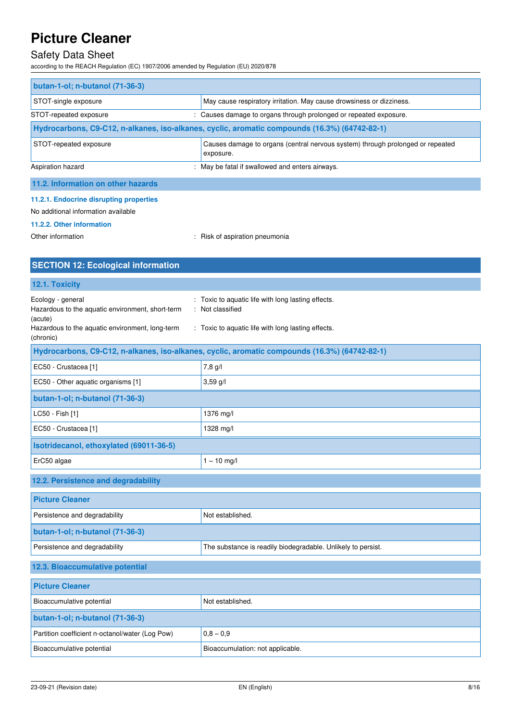### Safety Data Sheet

according to the REACH Regulation (EC) 1907/2006 amended by Regulation (EU) 2020/878

| butan-1-ol; n-butanol (71-36-3)                                                                                       |                                                                      |  |
|-----------------------------------------------------------------------------------------------------------------------|----------------------------------------------------------------------|--|
| STOT-single exposure                                                                                                  | May cause respiratory irritation. May cause drowsiness or dizziness. |  |
| : Causes damage to organs through prolonged or repeated exposure.<br>STOT-repeated exposure                           |                                                                      |  |
| Hydrocarbons, C9-C12, n-alkanes, iso-alkanes, cyclic, aromatic compounds (16.3%) (64742-82-1)                         |                                                                      |  |
| Causes damage to organs (central nervous system) through prolonged or repeated<br>STOT-repeated exposure<br>exposure. |                                                                      |  |
| Aspiration hazard                                                                                                     | : May be fatal if swallowed and enters airways.                      |  |

### **11.2. Information on other hazards**

#### **11.2.1. Endocrine disrupting properties**

No additional information available

#### **11.2.2. Other information**

Other information **contact of the COLO COLOGY** Risk of aspiration pneumonia

| <b>SECTION 12: Ecological information</b>                                                                                                        |                                                                                                                          |  |
|--------------------------------------------------------------------------------------------------------------------------------------------------|--------------------------------------------------------------------------------------------------------------------------|--|
| 12.1. Toxicity                                                                                                                                   |                                                                                                                          |  |
| Ecology - general<br>Hazardous to the aquatic environment, short-term<br>(acute)<br>Hazardous to the aquatic environment, long-term<br>(chronic) | Toxic to aquatic life with long lasting effects.<br>Not classified<br>: Toxic to aquatic life with long lasting effects. |  |
|                                                                                                                                                  | Hydrocarbons, C9-C12, n-alkanes, iso-alkanes, cyclic, aromatic compounds (16.3%) (64742-82-1)                            |  |
| EC50 - Crustacea [1]                                                                                                                             | 7,8 g/l                                                                                                                  |  |
| EC50 - Other aquatic organisms [1]                                                                                                               | $3,59$ g/l                                                                                                               |  |
| butan-1-ol; n-butanol (71-36-3)                                                                                                                  |                                                                                                                          |  |
| LC50 - Fish [1]                                                                                                                                  | 1376 mg/l                                                                                                                |  |
| EC50 - Crustacea [1]                                                                                                                             | 1328 mg/l                                                                                                                |  |
| Isotridecanol, ethoxylated (69011-36-5)                                                                                                          |                                                                                                                          |  |
| ErC50 algae                                                                                                                                      | $1 - 10$ mg/l                                                                                                            |  |
| 12.2. Persistence and degradability                                                                                                              |                                                                                                                          |  |
| <b>Picture Cleaner</b>                                                                                                                           |                                                                                                                          |  |
| Persistence and degradability                                                                                                                    | Not established.                                                                                                         |  |
| butan-1-ol; n-butanol (71-36-3)                                                                                                                  |                                                                                                                          |  |
| Persistence and degradability                                                                                                                    | The substance is readily biodegradable. Unlikely to persist.                                                             |  |
| 12.3. Bioaccumulative potential                                                                                                                  |                                                                                                                          |  |
| <b>Picture Cleaner</b>                                                                                                                           |                                                                                                                          |  |
| Bioaccumulative potential                                                                                                                        | Not established.                                                                                                         |  |
| butan-1-ol; n-butanol (71-36-3)                                                                                                                  |                                                                                                                          |  |
| Partition coefficient n-octanol/water (Log Pow)                                                                                                  | $0,8 - 0,9$                                                                                                              |  |
| Bioaccumulative potential                                                                                                                        | Bioaccumulation: not applicable.                                                                                         |  |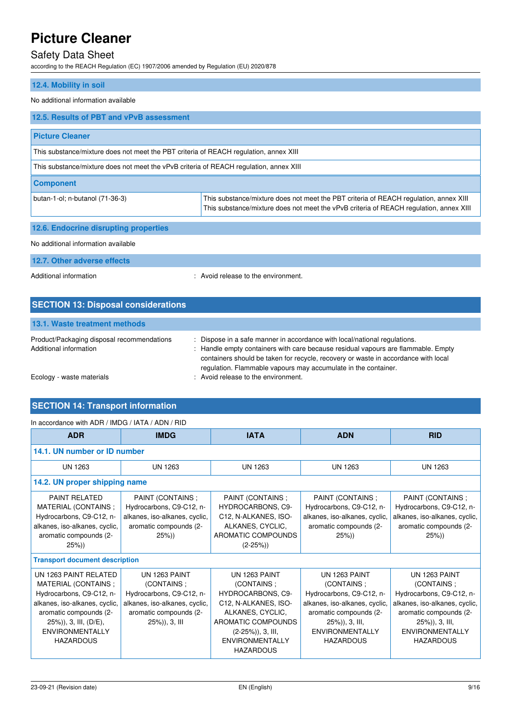### Safety Data Sheet

according to the REACH Regulation (EC) 1907/2006 amended by Regulation (EU) 2020/878

### **12.4. Mobility in soil**

#### No additional information available

| 12.5. Results of PBT and vPvB assessment                                               |                                                                                                                                                                                 |  |
|----------------------------------------------------------------------------------------|---------------------------------------------------------------------------------------------------------------------------------------------------------------------------------|--|
| <b>Picture Cleaner</b>                                                                 |                                                                                                                                                                                 |  |
| This substance/mixture does not meet the PBT criteria of REACH regulation, annex XIII  |                                                                                                                                                                                 |  |
| This substance/mixture does not meet the vPvB criteria of REACH regulation, annex XIII |                                                                                                                                                                                 |  |
| <b>Component</b>                                                                       |                                                                                                                                                                                 |  |
| butan-1-ol; n-butanol (71-36-3)                                                        | This substance/mixture does not meet the PBT criteria of REACH regulation, annex XIII<br>This substance/mixture does not meet the vPvB criteria of REACH regulation, annex XIII |  |
| 12.6. Endocrine disrupting properties                                                  |                                                                                                                                                                                 |  |
| No additional information available                                                    |                                                                                                                                                                                 |  |

**12.7. Other adverse effects** 

Additional information **interval information** : Avoid release to the environment.

| <b>SECTION 13: Disposal considerations</b>                           |                                                                                                                                                                                                                                                                                                                        |
|----------------------------------------------------------------------|------------------------------------------------------------------------------------------------------------------------------------------------------------------------------------------------------------------------------------------------------------------------------------------------------------------------|
| 13.1. Waste treatment methods                                        |                                                                                                                                                                                                                                                                                                                        |
| Product/Packaging disposal recommendations<br>Additional information | : Dispose in a safe manner in accordance with local/national regulations.<br>: Handle empty containers with care because residual vapours are flammable. Empty<br>containers should be taken for recycle, recovery or waste in accordance with local<br>regulation. Flammable vapours may accumulate in the container. |
| Ecology - waste materials                                            | : Avoid release to the environment.                                                                                                                                                                                                                                                                                    |

### **SECTION 14: Transport information**

#### In accordance with ADR / IMDG / IATA / ADN / RID

| <b>ADR</b>                                                                                                                                                                                                    | <b>IMDG</b>                                                                                                                            | <b>IATA</b>                                                                                                                                                                                     | <b>ADN</b>                                                                                                                                                                            | <b>RID</b>                                                                                                                                                                            |  |
|---------------------------------------------------------------------------------------------------------------------------------------------------------------------------------------------------------------|----------------------------------------------------------------------------------------------------------------------------------------|-------------------------------------------------------------------------------------------------------------------------------------------------------------------------------------------------|---------------------------------------------------------------------------------------------------------------------------------------------------------------------------------------|---------------------------------------------------------------------------------------------------------------------------------------------------------------------------------------|--|
|                                                                                                                                                                                                               | 14.1. UN number or ID number                                                                                                           |                                                                                                                                                                                                 |                                                                                                                                                                                       |                                                                                                                                                                                       |  |
| UN 1263                                                                                                                                                                                                       | <b>UN 1263</b>                                                                                                                         | UN 1263                                                                                                                                                                                         | UN 1263                                                                                                                                                                               | UN 1263                                                                                                                                                                               |  |
| 14.2. UN proper shipping name                                                                                                                                                                                 |                                                                                                                                        |                                                                                                                                                                                                 |                                                                                                                                                                                       |                                                                                                                                                                                       |  |
| <b>PAINT RELATED</b><br>MATERIAL (CONTAINS ;<br>Hydrocarbons, C9-C12, n-<br>alkanes, iso-alkanes, cyclic,<br>aromatic compounds (2-<br>$25\%)$                                                                | PAINT (CONTAINS;<br>Hydrocarbons, C9-C12, n-<br>alkanes, iso-alkanes, cyclic,<br>aromatic compounds (2-<br>$25\%)$                     | PAINT (CONTAINS ;<br><b>HYDROCARBONS, C9-</b><br>C12, N-ALKANES, ISO-<br>ALKANES, CYCLIC,<br>AROMATIC COMPOUNDS<br>$(2-25%)$                                                                    | PAINT (CONTAINS;<br>Hydrocarbons, C9-C12, n-<br>alkanes, iso-alkanes, cyclic,<br>aromatic compounds (2-<br>$25\%)$                                                                    | PAINT (CONTAINS ;<br>Hydrocarbons, C9-C12, n-<br>alkanes, iso-alkanes, cyclic,<br>aromatic compounds (2-<br>$25\%)$                                                                   |  |
| <b>Transport document description</b>                                                                                                                                                                         |                                                                                                                                        |                                                                                                                                                                                                 |                                                                                                                                                                                       |                                                                                                                                                                                       |  |
| UN 1263 PAINT RELATED<br>MATERIAL (CONTAINS;<br>Hydrocarbons, C9-C12, n-<br>alkanes, iso-alkanes, cyclic,<br>aromatic compounds (2-<br>$25\%)$ , 3, III, (D/E),<br><b>ENVIRONMENTALLY</b><br><b>HAZARDOUS</b> | UN 1263 PAINT<br>(CONTAINS;<br>Hydrocarbons, C9-C12, n-<br>alkanes, iso-alkanes, cyclic,<br>aromatic compounds (2-<br>$25\%)$ , 3, III | UN 1263 PAINT<br>(CONTAINS:<br><b>HYDROCARBONS, C9-</b><br>C12, N-ALKANES, ISO-<br>ALKANES, CYCLIC,<br>AROMATIC COMPOUNDS<br>$(2-25\%)$ , 3, III,<br><b>ENVIRONMENTALLY</b><br><b>HAZARDOUS</b> | UN 1263 PAINT<br>(CONTAINS;<br>Hydrocarbons, C9-C12, n-<br>alkanes, iso-alkanes, cyclic,<br>aromatic compounds (2-<br>$25\%)$ , 3, III,<br><b>ENVIRONMENTALLY</b><br><b>HAZARDOUS</b> | UN 1263 PAINT<br>(CONTAINS;<br>Hydrocarbons, C9-C12, n-<br>alkanes, iso-alkanes, cyclic,<br>aromatic compounds (2-<br>$25\%)$ , 3, III,<br><b>ENVIRONMENTALLY</b><br><b>HAZARDOUS</b> |  |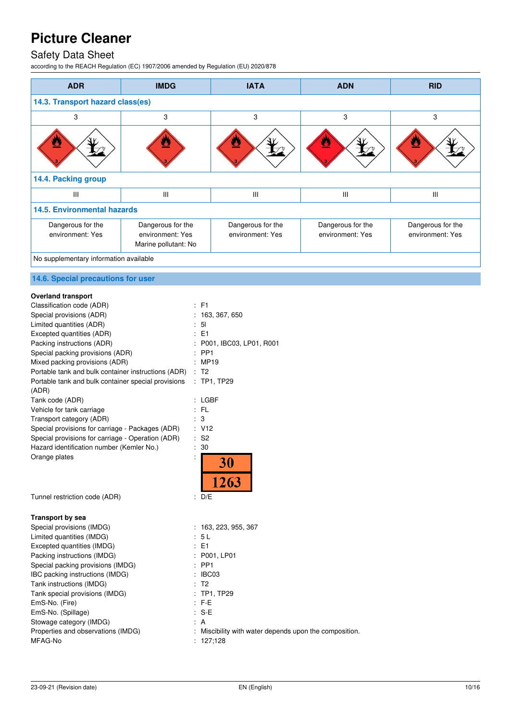### Safety Data Sheet

according to the REACH Regulation (EC) 1907/2006 amended by Regulation (EU) 2020/878

| <b>ADR</b>                             | <b>IMDG</b>                                                   | <b>IATA</b>                           | <b>ADN</b>                            | <b>RID</b>                            |  |
|----------------------------------------|---------------------------------------------------------------|---------------------------------------|---------------------------------------|---------------------------------------|--|
| 14.3. Transport hazard class(es)       |                                                               |                                       |                                       |                                       |  |
| 3                                      | 3                                                             | 3                                     | 3                                     | 3                                     |  |
|                                        |                                                               | ŝ.                                    |                                       | ⋓                                     |  |
| 14.4. Packing group                    |                                                               |                                       |                                       |                                       |  |
| III                                    | III                                                           | $\mathbf{III}$                        | III                                   | Ш                                     |  |
| <b>14.5. Environmental hazards</b>     |                                                               |                                       |                                       |                                       |  |
| Dangerous for the<br>environment: Yes  | Dangerous for the<br>environment: Yes<br>Marine pollutant: No | Dangerous for the<br>environment: Yes | Dangerous for the<br>environment: Yes | Dangerous for the<br>environment: Yes |  |
| No supplementary information available |                                                               |                                       |                                       |                                       |  |

#### **14.6. Special precautions for user**

#### **Overland transport**

| Classification code (ADR)                           | $:$ F1                      |
|-----------------------------------------------------|-----------------------------|
| Special provisions (ADR)                            | 163, 367, 650               |
| Limited quantities (ADR)                            | 5 <sub>l</sub>              |
| Excepted quantities (ADR)                           | E <sub>1</sub>              |
| Packing instructions (ADR)                          | P001, IBC03, LP01, R001     |
| Special packing provisions (ADR)                    | PP <sub>1</sub>             |
| Mixed packing provisions (ADR)                      | <b>MP19</b>                 |
| Portable tank and bulk container instructions (ADR) | T <sub>2</sub>              |
| Portable tank and bulk container special provisions | TP1, TP29                   |
| (ADR)                                               |                             |
| Tank code (ADR)                                     | LGBF                        |
| Vehicle for tank carriage                           | FL.                         |
| Transport category (ADR)                            | 3                           |
| Special provisions for carriage - Packages (ADR)    | V12                         |
| Special provisions for carriage - Operation (ADR)   | S <sub>2</sub>              |
| Hazard identification number (Kemler No.)           | 30                          |
| Orange plates                                       | <b>30</b>                   |
|                                                     |                             |
|                                                     | 1263                        |
|                                                     |                             |
| Tunnel restriction code (ADR)                       | D/E<br>$\ddot{\phantom{a}}$ |
| <b>Transport by sea</b>                             |                             |
| Special provisions (IMDG)                           | : 163, 223, 955, 367        |
| Limited quantities (IMDG)                           | 5L                          |
| Excepted quantities (IMDG)                          | $E = 1$                     |
| Packing instructions (IMDG)                         | P001, LP01                  |
| Special packing provisions (IMDG)                   | PP <sub>1</sub>             |
| IBC packing instructions (IMDG)                     | IBC03                       |
| $T_{\alpha\alpha}$ is in atim intimate $(IIIDC)$    | т∩                          |

Tank instructions (IMDG) : T2 Tank special provisions (IMDG) : TP1, TP29 EmS-No. (Fire) : F-E EmS-No. (Spillage) Stowage category (IMDG) **Example 2** and 2 and 3 and 3 and 3 and 3 and 3 and 3 and 3 and 3 and 3 and 3 and 3 and 3 and 3 and 3 and 3 and 3 and 3 and 3 and 3 and 3 and 3 and 3 and 3 and 3 and 3 and 3 and 3 and 3 and 3 and 3

- 
- Properties and observations (IMDG) : Miscibility with water depends upon the composition.

MFAG-No : 127;128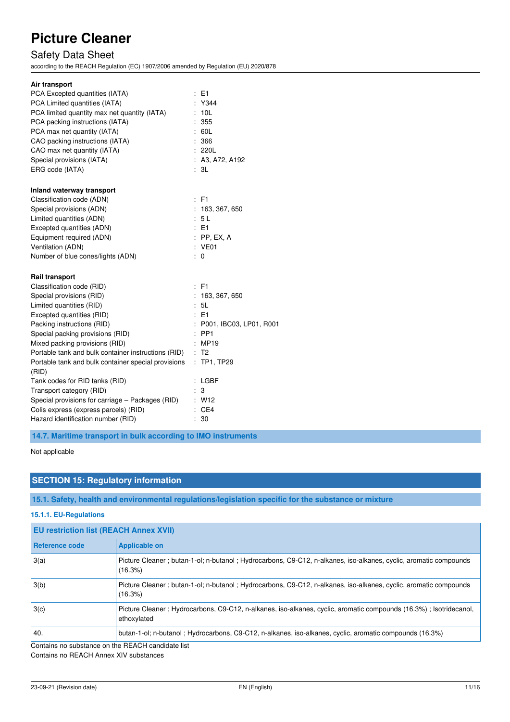# Safety Data Sheet

according to the REACH Regulation (EC) 1907/2006 amended by Regulation (EU) 2020/878

| Air transport<br>PCA Excepted quantities (IATA)<br>PCA Limited quantities (IATA)<br>PCA limited quantity max net quantity (IATA)<br>PCA packing instructions (IATA)<br>PCA max net quantity (IATA)<br>CAO packing instructions (IATA)<br>CAO max net quantity (IATA)                                                                                               | $E = 1$<br>: Y344<br>: 10L<br>: 355<br>: 60L<br>: 366<br>: 220L                                                             |
|--------------------------------------------------------------------------------------------------------------------------------------------------------------------------------------------------------------------------------------------------------------------------------------------------------------------------------------------------------------------|-----------------------------------------------------------------------------------------------------------------------------|
| Special provisions (IATA)                                                                                                                                                                                                                                                                                                                                          | : A3, A72, A192                                                                                                             |
| ERG code (IATA)                                                                                                                                                                                                                                                                                                                                                    | : 3L                                                                                                                        |
| Inland waterway transport                                                                                                                                                                                                                                                                                                                                          | : F1                                                                                                                        |
| Classification code (ADN)                                                                                                                                                                                                                                                                                                                                          | : 163, 367, 650                                                                                                             |
| Special provisions (ADN)                                                                                                                                                                                                                                                                                                                                           | : 5L                                                                                                                        |
| Limited quantities (ADN)                                                                                                                                                                                                                                                                                                                                           | : E1                                                                                                                        |
| Excepted quantities (ADN)                                                                                                                                                                                                                                                                                                                                          | $:$ PP, EX, A                                                                                                               |
| Equipment required (ADN)                                                                                                                                                                                                                                                                                                                                           | : VE01                                                                                                                      |
| Ventilation (ADN)                                                                                                                                                                                                                                                                                                                                                  | ÷.                                                                                                                          |
| Number of blue cones/lights (ADN)                                                                                                                                                                                                                                                                                                                                  | 0                                                                                                                           |
| <b>Rail transport</b><br>Classification code (RID)<br>Special provisions (RID)<br>Limited quantities (RID)<br>Excepted quantities (RID)<br>Packing instructions (RID)<br>Special packing provisions (RID)<br>Mixed packing provisions (RID)<br>Portable tank and bulk container instructions (RID)<br>Portable tank and bulk container special provisions<br>(RID) | $:$ F1<br>: 163, 367, 650<br>: 5L<br>: E1<br>: P001, IBC03, LP01, R001<br>$:$ PP1<br>: MP19<br>: T2<br>$\cdot$<br>TP1, TP29 |
| Tank codes for RID tanks (RID)                                                                                                                                                                                                                                                                                                                                     | $:$ LGBF                                                                                                                    |
| Transport category (RID)                                                                                                                                                                                                                                                                                                                                           | 3                                                                                                                           |
| Special provisions for carriage – Packages (RID)                                                                                                                                                                                                                                                                                                                   | : W12                                                                                                                       |
| Colis express (express parcels) (RID)                                                                                                                                                                                                                                                                                                                              | : CEA                                                                                                                       |
| Hazard identification number (RID)                                                                                                                                                                                                                                                                                                                                 | 30                                                                                                                          |

**14.7. Maritime transport in bulk according to IMO instruments** 

Not applicable

#### **SECTION 15: Regulatory information**

**15.1. Safety, health and environmental regulations/legislation specific for the substance or mixture** 

**15.1.1. EU-Regulations** 

| <b>EU restriction list (REACH Annex XVII)</b>     |                                                                                                                                  |  |
|---------------------------------------------------|----------------------------------------------------------------------------------------------------------------------------------|--|
| <b>Reference code</b>                             | <b>Applicable on</b>                                                                                                             |  |
| 3(a)                                              | Picture Cleaner; butan-1-ol; n-butanol; Hydrocarbons, C9-C12, n-alkanes, iso-alkanes, cyclic, aromatic compounds<br>(16.3%)      |  |
| 3(b)                                              | Picture Cleaner; butan-1-ol; n-butanol; Hydrocarbons, C9-C12, n-alkanes, iso-alkanes, cyclic, aromatic compounds<br>(16.3%)      |  |
| 3(c)                                              | Picture Cleaner; Hydrocarbons, C9-C12, n-alkanes, iso-alkanes, cyclic, aromatic compounds (16.3%); Isotridecanol,<br>ethoxylated |  |
| 40.                                               | butan-1-ol; n-butanol; Hydrocarbons, C9-C12, n-alkanes, iso-alkanes, cyclic, aromatic compounds (16.3%)                          |  |
| Contains no substance on the REACH candidate list |                                                                                                                                  |  |

Contains no REACH Annex XIV substances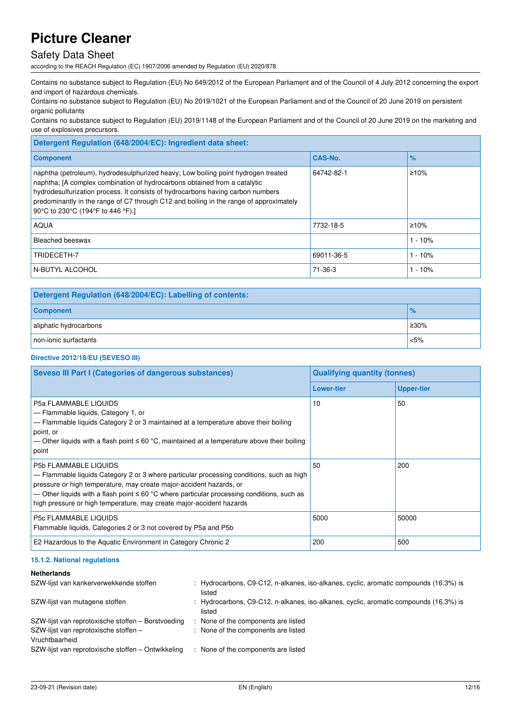### Safety Data Sheet

according to the REACH Regulation (EC) 1907/2006 amended by Regulation (EU) 2020/878

Contains no substance subject to Regulation (EU) No 649/2012 of the European Parliament and of the Council of 4 July 2012 concerning the export and import of hazardous chemicals.

Contains no substance subject to Regulation (EU) No 2019/1021 of the European Parliament and of the Council of 20 June 2019 on persistent organic pollutants

Contains no substance subject to Regulation (EU) 2019/1148 of the European Parliament and of the Council of 20 June 2019 on the marketing and use of explosives precursors.

| <b>CAS-No.</b> | $\%$      |
|----------------|-----------|
| 64742-82-1     | ≥10%      |
| 7732-18-5      | ≥10%      |
|                | $1 - 10%$ |
| 69011-36-5     | - 10%     |
| 71-36-3        | - 10%     |
|                |           |

| Detergent Regulation (648/2004/EC): Labelling of contents: |               |  |
|------------------------------------------------------------|---------------|--|
| <b>Component</b>                                           | $\frac{1}{6}$ |  |
| aliphatic hydrocarbons                                     | ≥30%          |  |
| non-ionic surfactants                                      | < 5%          |  |

#### **Directive 2012/18/EU (SEVESO III)**

| <b>Seveso III Part I (Categories of dangerous substances)</b>                                                                                                                                                                                                                                                                                                              | <b>Qualifying quantity (tonnes)</b> |                   |
|----------------------------------------------------------------------------------------------------------------------------------------------------------------------------------------------------------------------------------------------------------------------------------------------------------------------------------------------------------------------------|-------------------------------------|-------------------|
|                                                                                                                                                                                                                                                                                                                                                                            | <b>Lower-tier</b>                   | <b>Upper-tier</b> |
| P5a FLAMMABLE LIQUIDS<br>- Flammable liquids, Category 1, or<br>- Flammable liquids Category 2 or 3 maintained at a temperature above their boiling<br>point, or<br>— Other liquids with a flash point $\leq 60$ °C, maintained at a temperature above their boiling<br>point                                                                                              | 10                                  | 50                |
| <b>P5b FLAMMABLE LIQUIDS</b><br>- Flammable liquids Category 2 or 3 where particular processing conditions, such as high<br>pressure or high temperature, may create major-accident hazards, or<br>— Other liquids with a flash point $\leq 60$ °C where particular processing conditions, such as<br>high pressure or high temperature, may create major-accident hazards | 50                                  | 200               |
| <b>P5c FLAMMABLE LIQUIDS</b><br>Flammable liquids, Categories 2 or 3 not covered by P5a and P5b                                                                                                                                                                                                                                                                            | 5000                                | 50000             |
| E2 Hazardous to the Aquatic Environment in Category Chronic 2                                                                                                                                                                                                                                                                                                              | 200                                 | 500               |

#### **15.1.2. National regulations**

#### **Netherlands**

| SZW-lijst van kankerverwekkende stoffen                 | : Hydrocarbons, C9-C12, n-alkanes, iso-alkanes, cyclic, aromatic compounds (16.3%) is<br>listed |
|---------------------------------------------------------|-------------------------------------------------------------------------------------------------|
| SZW-lijst van mutagene stoffen                          | : Hydrocarbons, C9-C12, n-alkanes, iso-alkanes, cyclic, aromatic compounds (16.3%) is<br>listed |
| SZW-lijst van reprotoxische stoffen – Borstvoeding      | : None of the components are listed                                                             |
| SZW-lijst van reprotoxische stoffen -<br>Vruchtbaarheid | : None of the components are listed                                                             |
| SZW-lijst van reprotoxische stoffen – Ontwikkeling      | : None of the components are listed                                                             |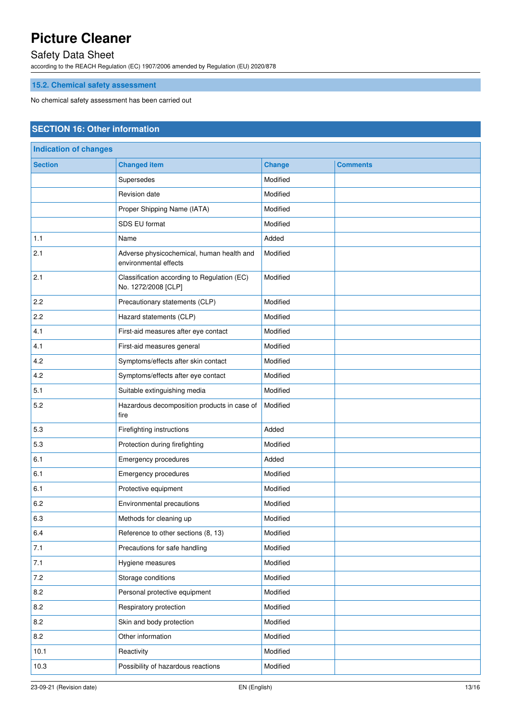### Safety Data Sheet

according to the REACH Regulation (EC) 1907/2006 amended by Regulation (EU) 2020/878

## **15.2. Chemical safety assessment**

No chemical safety assessment has been carried out

### **SECTION 16: Other information**

| <b>Indication of changes</b> |                                                                    |               |                 |
|------------------------------|--------------------------------------------------------------------|---------------|-----------------|
| <b>Section</b>               | <b>Changed item</b>                                                | <b>Change</b> | <b>Comments</b> |
|                              | Supersedes                                                         | Modified      |                 |
|                              | Revision date                                                      | Modified      |                 |
|                              | Proper Shipping Name (IATA)                                        | Modified      |                 |
|                              | SDS EU format                                                      | Modified      |                 |
| 1.1                          | Name                                                               | Added         |                 |
| 2.1                          | Adverse physicochemical, human health and<br>environmental effects | Modified      |                 |
| 2.1                          | Classification according to Regulation (EC)<br>No. 1272/2008 [CLP] | Modified      |                 |
| 2.2                          | Precautionary statements (CLP)                                     | Modified      |                 |
| 2.2                          | Hazard statements (CLP)                                            | Modified      |                 |
| 4.1                          | First-aid measures after eye contact                               | Modified      |                 |
| 4.1                          | First-aid measures general                                         | Modified      |                 |
| 4.2                          | Symptoms/effects after skin contact                                | Modified      |                 |
| 4.2                          | Symptoms/effects after eye contact                                 | Modified      |                 |
| 5.1                          | Suitable extinguishing media                                       | Modified      |                 |
| 5.2                          | Hazardous decomposition products in case of<br>fire                | Modified      |                 |
| 5.3                          | Firefighting instructions                                          | Added         |                 |
| 5.3                          | Protection during firefighting                                     | Modified      |                 |
| 6.1                          | Emergency procedures                                               | Added         |                 |
| 6.1                          | Emergency procedures                                               | Modified      |                 |
| 6.1                          | Protective equipment                                               | Modified      |                 |
| 6.2                          | Environmental precautions                                          | Modified      |                 |
| 6.3                          | Methods for cleaning up                                            | Modified      |                 |
| 6.4                          | Reference to other sections (8, 13)                                | Modified      |                 |
| 7.1                          | Precautions for safe handling                                      | Modified      |                 |
| 7.1                          | Hygiene measures                                                   | Modified      |                 |
| 7.2                          | Storage conditions                                                 | Modified      |                 |
| 8.2                          | Personal protective equipment                                      | Modified      |                 |
| 8.2                          | Respiratory protection                                             | Modified      |                 |
| 8.2                          | Skin and body protection                                           | Modified      |                 |
| 8.2                          | Other information                                                  | Modified      |                 |
| 10.1                         | Reactivity                                                         | Modified      |                 |
| 10.3                         | Possibility of hazardous reactions                                 | Modified      |                 |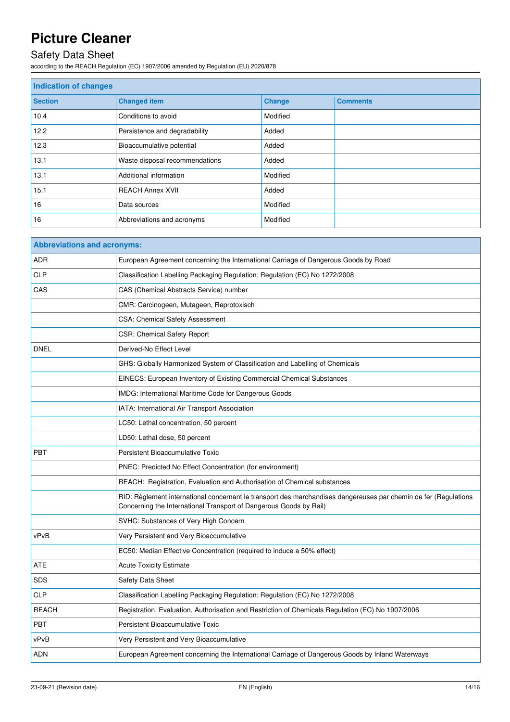# Safety Data Sheet

according to the REACH Regulation (EC) 1907/2006 amended by Regulation (EU) 2020/878

| <b>Indication of changes</b> |                                |               |                 |
|------------------------------|--------------------------------|---------------|-----------------|
| <b>Section</b>               | <b>Changed item</b>            | <b>Change</b> | <b>Comments</b> |
| 10.4                         | Conditions to avoid            | Modified      |                 |
| 12.2                         | Persistence and degradability  | Added         |                 |
| 12.3                         | Bioaccumulative potential      | Added         |                 |
| 13.1                         | Waste disposal recommendations | Added         |                 |
| 13.1                         | Additional information         | Modified      |                 |
| 15.1                         | <b>REACH Annex XVII</b>        | Added         |                 |
| 16                           | Data sources                   | Modified      |                 |
| 16                           | Abbreviations and acronyms     | Modified      |                 |

| <b>Abbreviations and acronyms:</b> |                                                                                                                                                                                        |  |
|------------------------------------|----------------------------------------------------------------------------------------------------------------------------------------------------------------------------------------|--|
| <b>ADR</b>                         | European Agreement concerning the International Carriage of Dangerous Goods by Road                                                                                                    |  |
| <b>CLP</b>                         | Classification Labelling Packaging Regulation; Regulation (EC) No 1272/2008                                                                                                            |  |
| CAS                                | CAS (Chemical Abstracts Service) number                                                                                                                                                |  |
|                                    | CMR: Carcinogeen, Mutageen, Reprotoxisch                                                                                                                                               |  |
|                                    | <b>CSA: Chemical Safety Assessment</b>                                                                                                                                                 |  |
|                                    | <b>CSR: Chemical Safety Report</b>                                                                                                                                                     |  |
| <b>DNEL</b>                        | Derived-No Effect Level                                                                                                                                                                |  |
|                                    | GHS: Globally Harmonized System of Classification and Labelling of Chemicals                                                                                                           |  |
|                                    | EINECS: European Inventory of Existing Commercial Chemical Substances                                                                                                                  |  |
|                                    | IMDG: International Maritime Code for Dangerous Goods                                                                                                                                  |  |
|                                    | IATA: International Air Transport Association                                                                                                                                          |  |
|                                    | LC50: Lethal concentration, 50 percent                                                                                                                                                 |  |
|                                    | LD50: Lethal dose, 50 percent                                                                                                                                                          |  |
| <b>PBT</b>                         | Persistent Bioaccumulative Toxic                                                                                                                                                       |  |
|                                    | PNEC: Predicted No Effect Concentration (for environment)                                                                                                                              |  |
|                                    | REACH: Registration, Evaluation and Authorisation of Chemical substances                                                                                                               |  |
|                                    | RID: Règlement international concernant le transport des marchandises dangereuses par chemin de fer (Regulations<br>Concerning the International Transport of Dangerous Goods by Rail) |  |
|                                    | SVHC: Substances of Very High Concern                                                                                                                                                  |  |
| vPvB                               | Very Persistent and Very Bioaccumulative                                                                                                                                               |  |
|                                    | EC50: Median Effective Concentration (required to induce a 50% effect)                                                                                                                 |  |
| ATE                                | <b>Acute Toxicity Estimate</b>                                                                                                                                                         |  |
| <b>SDS</b>                         | Safety Data Sheet                                                                                                                                                                      |  |
| <b>CLP</b>                         | Classification Labelling Packaging Regulation; Regulation (EC) No 1272/2008                                                                                                            |  |
| <b>REACH</b>                       | Registration, Evaluation, Authorisation and Restriction of Chemicals Regulation (EC) No 1907/2006                                                                                      |  |
| <b>PBT</b>                         | Persistent Bioaccumulative Toxic                                                                                                                                                       |  |
| vPvB                               | Very Persistent and Very Bioaccumulative                                                                                                                                               |  |
| <b>ADN</b>                         | European Agreement concerning the International Carriage of Dangerous Goods by Inland Waterways                                                                                        |  |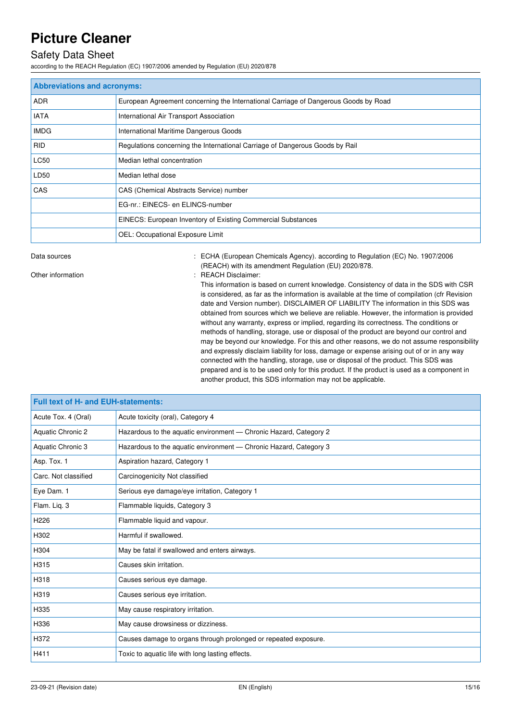### Safety Data Sheet

according to the REACH Regulation (EC) 1907/2006 amended by Regulation (EU) 2020/878

| <b>Abbreviations and acronyms:</b> |                                                                                     |  |
|------------------------------------|-------------------------------------------------------------------------------------|--|
| ADR.                               | European Agreement concerning the International Carriage of Dangerous Goods by Road |  |
| <b>IATA</b>                        | International Air Transport Association                                             |  |
| <b>IMDG</b>                        | International Maritime Dangerous Goods                                              |  |
| <b>RID</b>                         | Regulations concerning the International Carriage of Dangerous Goods by Rail        |  |
| <b>LC50</b>                        | Median lethal concentration                                                         |  |
| LD50                               | Median lethal dose                                                                  |  |
| CAS                                | CAS (Chemical Abstracts Service) number                                             |  |
|                                    | EG-nr.: EINECS- en ELINCS-number                                                    |  |
|                                    | EINECS: European Inventory of Existing Commercial Substances                        |  |
|                                    | OEL: Occupational Exposure Limit                                                    |  |

Data sources **State 1908** CHA (European Chemicals Agency). according to Regulation (EC) No. 1907/2006 (REACH) with its amendment Regulation (EU) 2020/878.

Other information  $\qquad \qquad$ : REACH Disclaimer:

This information is based on current knowledge. Consistency of data in the SDS with CSR is considered, as far as the information is available at the time of compilation (cfr Revision date and Version number). DISCLAIMER OF LIABILITY The information in this SDS was obtained from sources which we believe are reliable. However, the information is provided without any warranty, express or implied, regarding its correctness. The conditions or methods of handling, storage, use or disposal of the product are beyond our control and may be beyond our knowledge. For this and other reasons, we do not assume responsibility and expressly disclaim liability for loss, damage or expense arising out of or in any way connected with the handling, storage, use or disposal of the product. This SDS was prepared and is to be used only for this product. If the product is used as a component in another product, this SDS information may not be applicable.

| <b>Full text of H- and EUH-statements:</b> |                                                                   |  |
|--------------------------------------------|-------------------------------------------------------------------|--|
| Acute Tox. 4 (Oral)                        | Acute toxicity (oral), Category 4                                 |  |
| <b>Aquatic Chronic 2</b>                   | Hazardous to the aquatic environment - Chronic Hazard, Category 2 |  |
| Aquatic Chronic 3                          | Hazardous to the aquatic environment - Chronic Hazard, Category 3 |  |
| Asp. Tox. 1                                | Aspiration hazard, Category 1                                     |  |
| Carc. Not classified                       | Carcinogenicity Not classified                                    |  |
| Eye Dam. 1                                 | Serious eye damage/eye irritation, Category 1                     |  |
| Flam. Liq. 3                               | Flammable liquids, Category 3                                     |  |
| H <sub>226</sub>                           | Flammable liquid and vapour.                                      |  |
| H302                                       | Harmful if swallowed.                                             |  |
| H304                                       | May be fatal if swallowed and enters airways.                     |  |
| H315                                       | Causes skin irritation.                                           |  |
| H318                                       | Causes serious eye damage.                                        |  |
| H319                                       | Causes serious eye irritation.                                    |  |
| H335                                       | May cause respiratory irritation.                                 |  |
| H336                                       | May cause drowsiness or dizziness.                                |  |
| H372                                       | Causes damage to organs through prolonged or repeated exposure.   |  |
| H411                                       | Toxic to aquatic life with long lasting effects.                  |  |